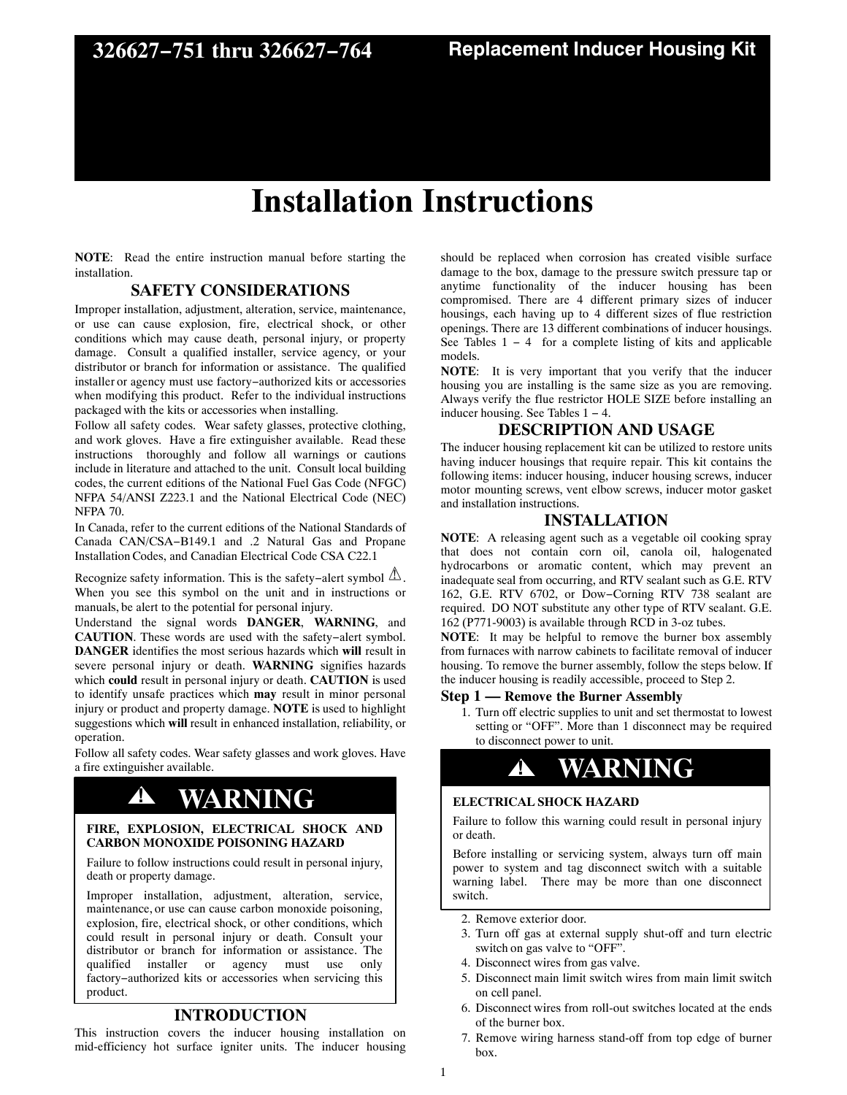# **Installation Instructions**

**NOTE**: Read the entire instruction manual before starting the installation.

### **SAFETY CONSIDERATIONS**

Improper installation, adjustment, alteration, service, maintenance, or use can cause explosion, fire, electrical shock, or other conditions which may cause death, personal injury, or property damage. Consult a qualified installer, service agency, or your distributor or branch for information or assistance. The qualified installer or agency must use factory−authorized kits or accessories when modifying this product. Refer to the individual instructions packaged with the kits or accessories when installing.

Follow all safety codes. Wear safety glasses, protective clothing, and work gloves. Have a fire extinguisher available. Read these instructions thoroughly and follow all warnings or cautions include in literature and attached to the unit. Consult local building codes, the current editions of the National Fuel Gas Code (NFGC) NFPA 54/ANSI Z223.1 and the National Electrical Code (NEC) NFPA 70.

In Canada, refer to the current editions of the National Standards of Canada CAN/CSA−B149.1 and .2 Natural Gas and Propane Installation Codes, and Canadian Electrical Code CSA C22.1

Recognize safety information. This is the safety-alert symbol  $\Delta$ . When you see this symbol on the unit and in instructions or manuals, be alert to the potential for personal injury.

Understand the signal words **DANGER**, **WARNING**, and **CAUTION**. These words are used with the safety−alert symbol. **DANGER** identifies the most serious hazards which **will** result in severe personal injury or death. **WARNING** signifies hazards which **could** result in personal injury or death. **CAUTION** is used to identify unsafe practices which **may** result in minor personal injury or product and property damage. **NOTE** is used to highlight suggestions which **will** result in enhanced installation, reliability, or operation.

Follow all safety codes. Wear safety glasses and work gloves. Have a fire extinguisher available.

# **! WARNING**

#### **FIRE, EXPLOSION, ELECTRICAL SHOCK AND CARBON MONOXIDE POISONING HAZARD**

Failure to follow instructions could result in personal injury, death or property damage.

Improper installation, adjustment, alteration, service, maintenance, or use can cause carbon monoxide poisoning, explosion, fire, electrical shock, or other conditions, which could result in personal injury or death. Consult your distributor or branch for information or assistance. The qualified installer or agency must use only factory−authorized kits or accessories when servicing this product.

# **INTRODUCTION**

This instruction covers the inducer housing installation on mid-efficiency hot surface igniter units. The inducer housing should be replaced when corrosion has created visible surface damage to the box, damage to the pressure switch pressure tap or anytime functionality of the inducer housing has been compromised. There are 4 different primary sizes of inducer housings, each having up to 4 different sizes of flue restriction openings. There are 13 different combinations of inducer housings. See Tables 1 − 4 for a complete listing of kits and applicable models.

**NOTE**: It is very important that you verify that the inducer housing you are installing is the same size as you are removing. Always verify the flue restrictor HOLE SIZE before installing an inducer housing. See Tables 1 − 4.

# **DESCRIPTION AND USAGE**

The inducer housing replacement kit can be utilized to restore units having inducer housings that require repair. This kit contains the following items: inducer housing, inducer housing screws, inducer motor mounting screws, vent elbow screws, inducer motor gasket and installation instructions.

# **INSTALLATION**

**NOTE**: A releasing agent such as a vegetable oil cooking spray that does not contain corn oil, canola oil, halogenated hydrocarbons or aromatic content, which may prevent an inadequate seal from occurring, and RTV sealant such as G.E. RTV 162, G.E. RTV 6702, or Dow−Corning RTV 738 sealant are required. DO NOT substitute any other type of RTV sealant. G.E. 162 (P771-9003) is available through RCD in 3-oz tubes.

**NOTE**: It may be helpful to remove the burner box assembly from furnaces with narrow cabinets to facilitate removal of inducer housing. To remove the burner assembly, follow the steps below. If the inducer housing is readily accessible, proceed to Step 2.

### **Step 1 — Remove the Burner Assembly**

1. Turn off electric supplies to unit and set thermostat to lowest setting or "OFF". More than 1 disconnect may be required to disconnect power to unit.

# **! WARNING**

#### **ELECTRICAL SHOCK HAZARD**

Failure to follow this warning could result in personal injury or death.

Before installing or servicing system, always turn off main power to system and tag disconnect switch with a suitable warning label. There may be more than one disconnect switch.

- 2. Remove exterior door.
- 3. Turn off gas at external supply shut-off and turn electric switch on gas valve to "OFF".
- 4. Disconnect wires from gas valve.
- 5. Disconnect main limit switch wires from main limit switch on cell panel.
- 6. Disconnect wires from roll-out switches located at the ends of the burner box.
- 7. Remove wiring harness stand-off from top edge of burner box.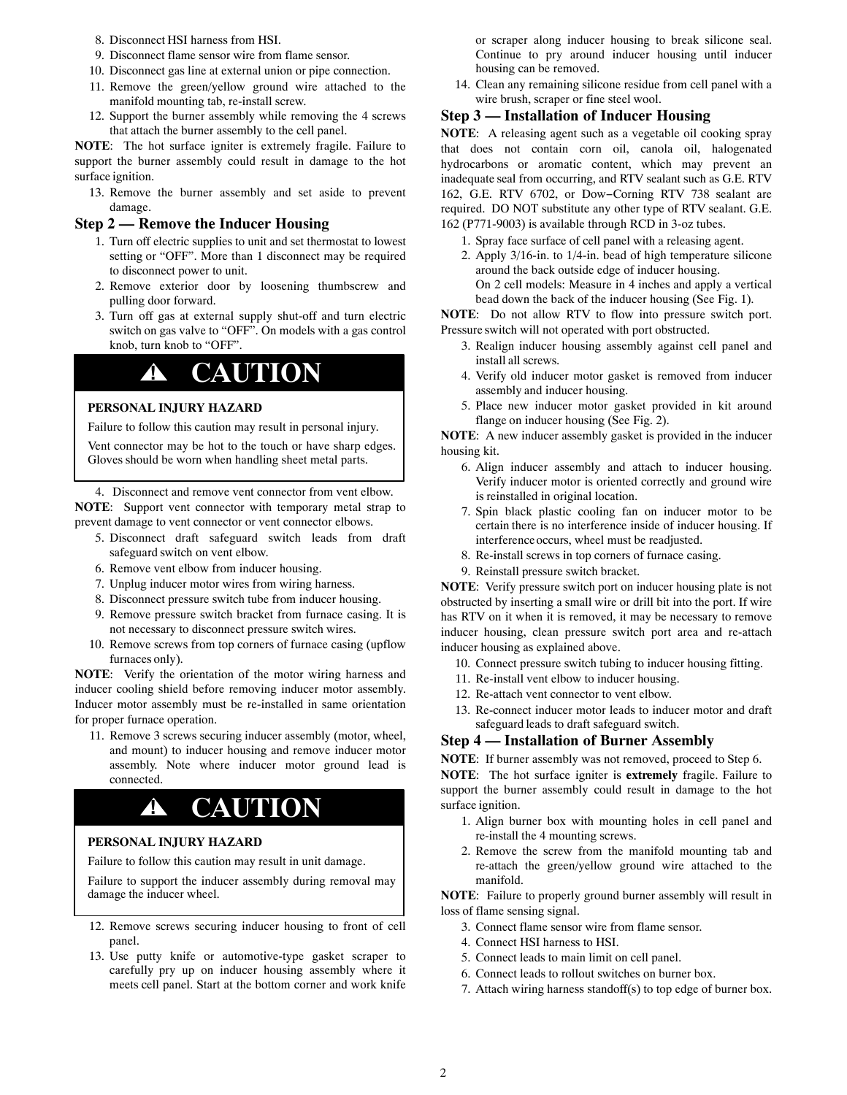- 8. Disconnect HSI harness from HSI.
- 9. Disconnect flame sensor wire from flame sensor.
- 10. Disconnect gas line at external union or pipe connection.
- 11. Remove the green/yellow ground wire attached to the manifold mounting tab, re-install screw.
- 12. Support the burner assembly while removing the 4 screws that attach the burner assembly to the cell panel.

**NOTE**: The hot surface igniter is extremely fragile. Failure to support the burner assembly could result in damage to the hot surface ignition.

13. Remove the burner assembly and set aside to prevent damage.

#### **Step 2 — Remove the Inducer Housing**

- 1. Turn off electric supplies to unit and set thermostat to lowest setting or "OFF". More than 1 disconnect may be required to disconnect power to unit.
- 2. Remove exterior door by loosening thumbscrew and pulling door forward.
- 3. Turn off gas at external supply shut-off and turn electric switch on gas valve to "OFF". On models with a gas control knob, turn knob to "OFF".

# **! CAUTION**

## **PERSONAL INJURY HAZARD**

Failure to follow this caution may result in personal injury.

Vent connector may be hot to the touch or have sharp edges. Gloves should be worn when handling sheet metal parts.

4. Disconnect and remove vent connector from vent elbow. **NOTE**: Support vent connector with temporary metal strap to prevent damage to vent connector or vent connector elbows.

- 5. Disconnect draft safeguard switch leads from draft safeguard switch on vent elbow.
	- 6. Remove vent elbow from inducer housing.
- 7. Unplug inducer motor wires from wiring harness.
- 8. Disconnect pressure switch tube from inducer housing.
- 9. Remove pressure switch bracket from furnace casing. It is not necessary to disconnect pressure switch wires.
- 10. Remove screws from top corners of furnace casing (upflow furnaces only).

**NOTE**: Verify the orientation of the motor wiring harness and inducer cooling shield before removing inducer motor assembly. Inducer motor assembly must be re-installed in same orientation for proper furnace operation.

11. Remove 3 screws securing inducer assembly (motor, wheel, and mount) to inducer housing and remove inducer motor assembly. Note where inducer motor ground lead is connected.

# **! CAUTION**

### **PERSONAL INJURY HAZARD**

Failure to follow this caution may result in unit damage.

Failure to support the inducer assembly during removal may damage the inducer wheel.

- 12. Remove screws securing inducer housing to front of cell panel.
- 13. Use putty knife or automotive-type gasket scraper to carefully pry up on inducer housing assembly where it meets cell panel. Start at the bottom corner and work knife

or scraper along inducer housing to break silicone seal. Continue to pry around inducer housing until inducer housing can be removed.

14. Clean any remaining silicone residue from cell panel with a wire brush, scraper or fine steel wool.

#### **Step 3 — Installation of Inducer Housing**

**NOTE**: A releasing agent such as a vegetable oil cooking spray that does not contain corn oil, canola oil, halogenated hydrocarbons or aromatic content, which may prevent an inadequate seal from occurring, and RTV sealant such as G.E. RTV 162, G.E. RTV 6702, or Dow−Corning RTV 738 sealant are required. DO NOT substitute any other type of RTV sealant. G.E. 162 (P771-9003) is available through RCD in 3-oz tubes.

- 1. Spray face surface of cell panel with a releasing agent.
- 2. Apply 3/16-in. to 1/4-in. bead of high temperature silicone around the back outside edge of inducer housing. On 2 cell models: Measure in 4 inches and apply a vertical bead down the back of the inducer housing (See Fig. 1).

**NOTE**: Do not allow RTV to flow into pressure switch port. Pressure switch will not operated with port obstructed.

- 3. Realign inducer housing assembly against cell panel and install all screws.
- 4. Verify old inducer motor gasket is removed from inducer assembly and inducer housing.
- 5. Place new inducer motor gasket provided in kit around flange on inducer housing (See Fig. 2).

**NOTE**: A new inducer assembly gasket is provided in the inducer housing kit.

- 6. Align inducer assembly and attach to inducer housing. Verify inducer motor is oriented correctly and ground wire is reinstalled in original location.
- 7. Spin black plastic cooling fan on inducer motor to be certain there is no interference inside of inducer housing. If interference occurs, wheel must be readjusted.
- 8. Re-install screws in top corners of furnace casing.
- 9. Reinstall pressure switch bracket.

**NOTE**: Verify pressure switch port on inducer housing plate is not obstructed by inserting a small wire or drill bit into the port. If wire has RTV on it when it is removed, it may be necessary to remove inducer housing, clean pressure switch port area and re-attach inducer housing as explained above.

- 10. Connect pressure switch tubing to inducer housing fitting.
- 11. Re-install vent elbow to inducer housing.
- 12. Re-attach vent connector to vent elbow.
- 13. Re-connect inducer motor leads to inducer motor and draft safeguard leads to draft safeguard switch.

### **Step 4 — Installation of Burner Assembly**

**NOTE**: If burner assembly was not removed, proceed to Step 6.

**NOTE**: The hot surface igniter is **extremely** fragile. Failure to support the burner assembly could result in damage to the hot surface ignition.

- 1. Align burner box with mounting holes in cell panel and re-install the 4 mounting screws.
- 2. Remove the screw from the manifold mounting tab and re-attach the green/yellow ground wire attached to the manifold.

**NOTE**: Failure to properly ground burner assembly will result in loss of flame sensing signal.

- 3. Connect flame sensor wire from flame sensor.
- 4. Connect HSI harness to HSI.
- 5. Connect leads to main limit on cell panel.
- 6. Connect leads to rollout switches on burner box.
- 7. Attach wiring harness standoff(s) to top edge of burner box.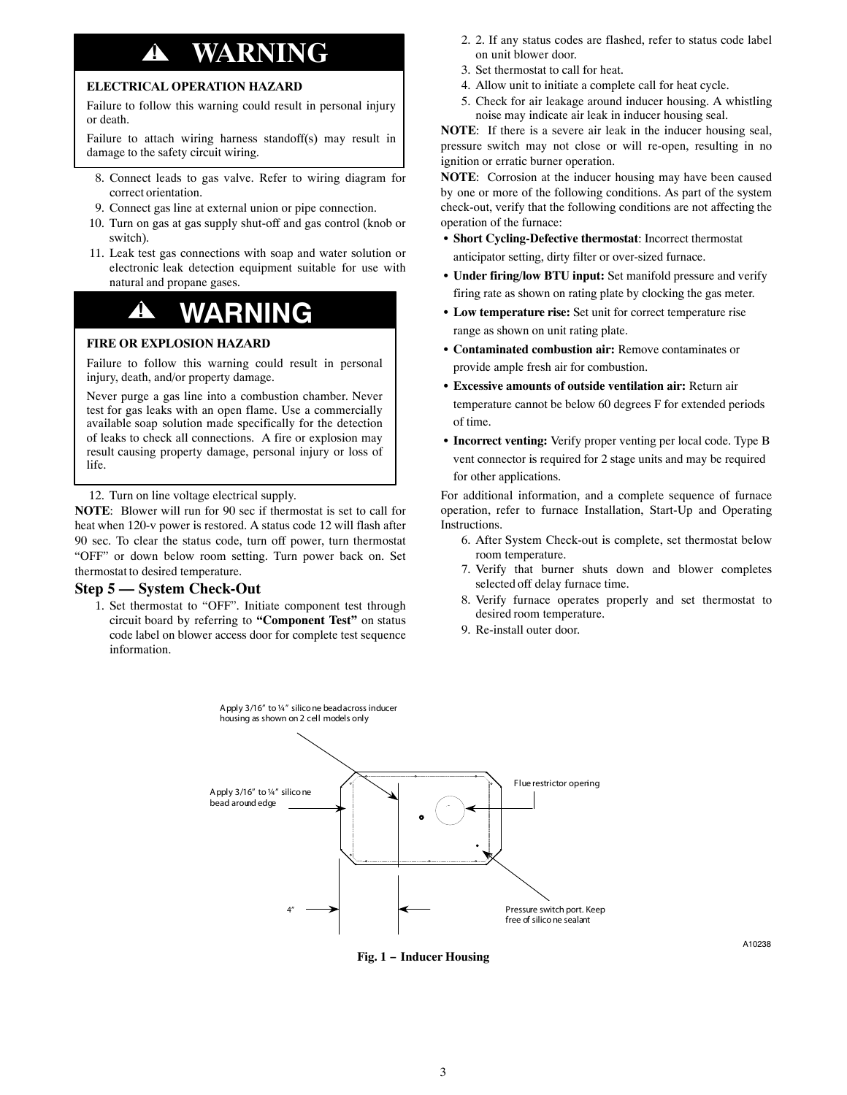# **! WARNING**

### **ELECTRICAL OPERATION HAZARD**

Failure to follow this warning could result in personal injury or death.

Failure to attach wiring harness standoff(s) may result in damage to the safety circuit wiring.

- 8. Connect leads to gas valve. Refer to wiring diagram for correct orientation.
- 9. Connect gas line at external union or pipe connection.
- 10. Turn on gas at gas supply shut-off and gas control (knob or switch).
- 11. Leak test gas connections with soap and water solution or electronic leak detection equipment suitable for use with natural and propane gases.

# **! WARNING**

#### **FIRE OR EXPLOSION HAZARD**

Failure to follow this warning could result in personal injury, death, and/or property damage.

Never purge a gas line into a combustion chamber. Never test for gas leaks with an open flame. Use a commercially available soap solution made specifically for the detection of leaks to check all connections. A fire or explosion may result causing property damage, personal injury or loss of life.

12. Turn on line voltage electrical supply.

**NOTE**: Blower will run for 90 sec if thermostat is set to call for heat when 120-v power is restored. A status code 12 will flash after 90 sec. To clear the status code, turn off power, turn thermostat "OFF" or down below room setting. Turn power back on. Set thermostat to desired temperature.

#### **Step 5 — System Check-Out**

1. Set thermostat to "OFF". Initiate component test through circuit board by referring to **"Component Test"** on status code label on blower access door for complete test sequence information.

- 2. 2. If any status codes are flashed, refer to status code label on unit blower door.
- 3. Set thermostat to call for heat.
- 4. Allow unit to initiate a complete call for heat cycle.
- 5. Check for air leakage around inducer housing. A whistling noise may indicate air leak in inducer housing seal.

**NOTE**: If there is a severe air leak in the inducer housing seal, pressure switch may not close or will re-open, resulting in no ignition or erratic burner operation.

**NOTE**: Corrosion at the inducer housing may have been caused by one or more of the following conditions. As part of the system check-out, verify that the following conditions are not affecting the operation of the furnace:

- **Short Cycling-Defective thermostat**: Incorrect thermostat anticipator setting, dirty filter or over-sized furnace.
- **Under firing/low BTU input:** Set manifold pressure and verify firing rate as shown on rating plate by clocking the gas meter.
- **Low temperature rise:** Set unit for correct temperature rise range as shown on unit rating plate.
- **Contaminated combustion air:** Remove contaminates or provide ample fresh air for combustion.
- **Excessive amounts of outside ventilation air:** Return air temperature cannot be below 60 degrees F for extended periods of time.
- **Incorrect venting:** Verify proper venting per local code. Type B vent connector is required for 2 stage units and may be required for other applications.

For additional information, and a complete sequence of furnace operation, refer to furnace Installation, Start-Up and Operating Instructions.

- 6. After System Check-out is complete, set thermostat below room temperature.
- 7. Verify that burner shuts down and blower completes selected off delay furnace time.
- 8. Verify furnace operates properly and set thermostat to desired room temperature.
- 9. Re-install outer door.



**Fig. 1 − Inducer Housing**

A10238